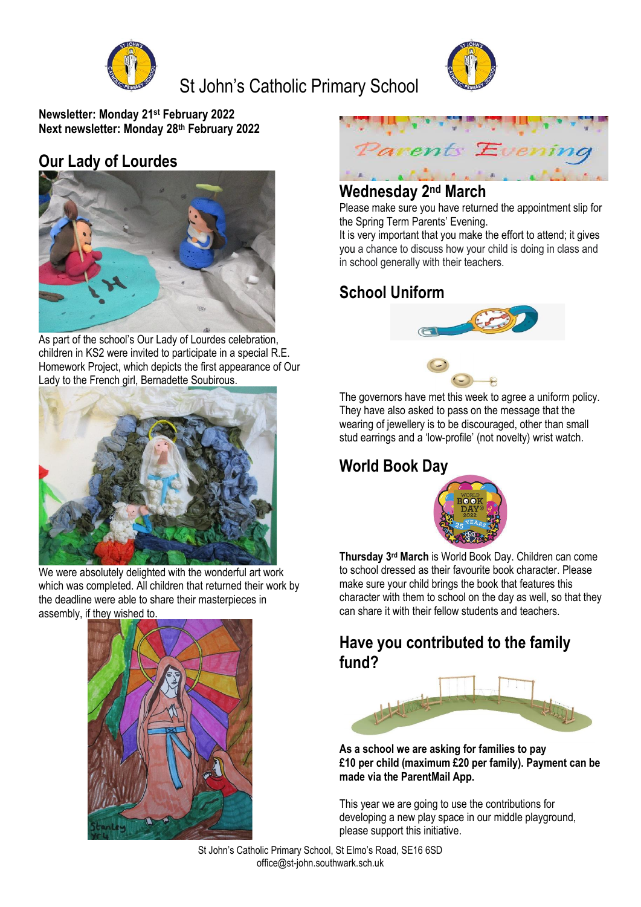

# St John's Catholic Primary School



**Newsletter: Monday 21st February 2022 Next newsletter: Monday 28th February 2022**

# **Our Lady of Lourdes**



As part of the school's Our Lady of Lourdes celebration, children in KS2 were invited to participate in a special R.E. Homework Project, which depicts the first appearance of Our Lady to the French girl, Bernadette Soubirous.



We were absolutely delighted with the wonderful art work which was completed. All children that returned their work by the deadline were able to share their masterpieces in assembly, if they wished to.





# **Wednesday 2nd March**

Please make sure you have returned the appointment slip for the Spring Term Parents' Evening.

It is very important that you make the effort to attend; it gives you a chance to discuss how your child is doing in class and in school generally with their teachers.

# **School Uniform**





The governors have met this week to agree a uniform policy. They have also asked to pass on the message that the wearing of jewellery is to be discouraged, other than small stud earrings and a 'low-profile' (not novelty) wrist watch.

# **World Book Day**



**Thursday 3rd March** is World Book Day. Children can come to school dressed as their favourite book character. Please make sure your child brings the book that features this character with them to school on the day as well, so that they can share it with their fellow students and teachers.

### **Have you contributed to the family fund?**



**As a school we are asking for families to pay £10 per child (maximum £20 per family). Payment can be made via the ParentMail App.**

This year we are going to use the contributions for developing a new play space in our middle playground, please support this initiative.

St John's Catholic Primary School, St Elmo's Road, SE16 6SD office@st-john.southwark.sch.uk